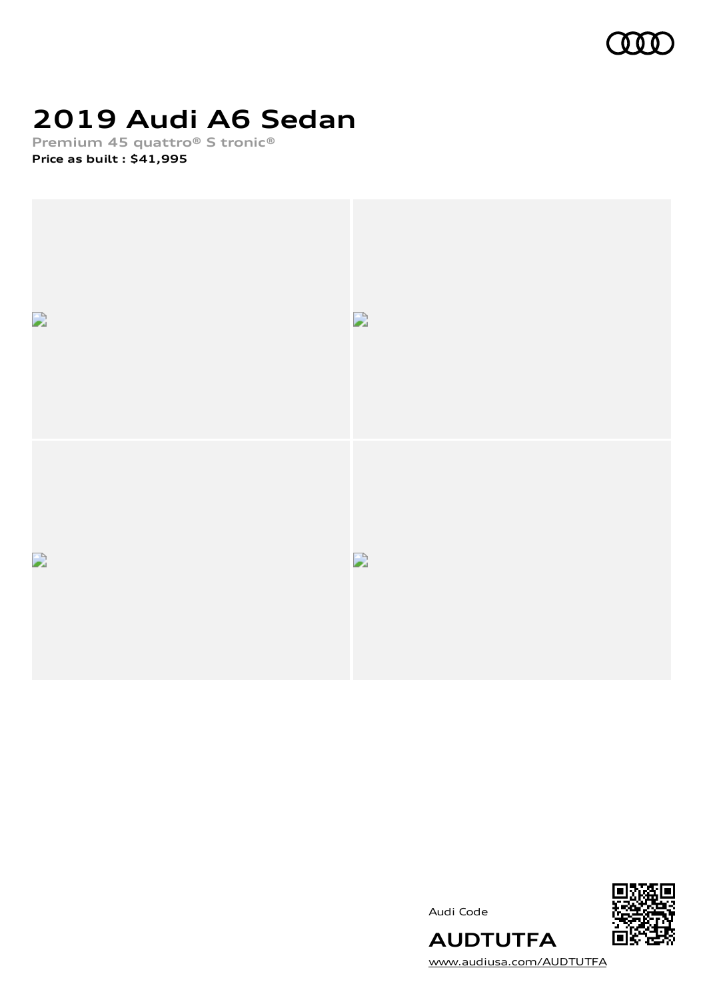

# **2019 Audi A6 Sedan**

**Premium 45 quattro® S tronic® Price as built [:](#page-9-0) \$41,995**



Audi Code



**AUDTUTFA** [www.audiusa.com/AUDTUTFA](https://www.audiusa.com/AUDTUTFA)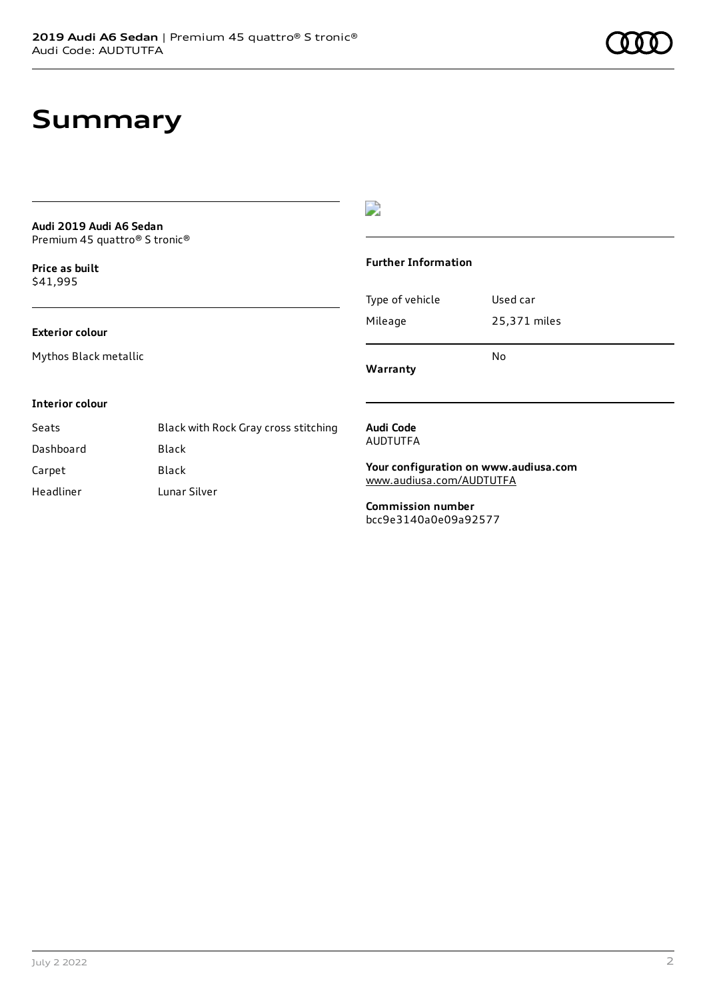## **Summary**

#### **Audi 2019 Audi A6 Sedan** Premium 45 quattro® S tronic®

**Price as buil[t](#page-9-0)** \$41,995

#### **Exterior colour**

Mythos Black metallic

### $\overline{\phantom{a}}$

#### **Further Information**

|                 | N٥           |
|-----------------|--------------|
| Mileage         | 25,371 miles |
| Type of vehicle | Used car     |

**Warranty**

#### **Interior colour**

| Seats     | Black with Rock Gray cross stitching |
|-----------|--------------------------------------|
| Dashboard | Black                                |
| Carpet    | Black                                |
| Headliner | Lunar Silver                         |

#### **Audi Code** AUDTUTFA

**Your configuration on www.audiusa.com** [www.audiusa.com/AUDTUTFA](https://www.audiusa.com/AUDTUTFA)

**Commission number** bcc9e3140a0e09a92577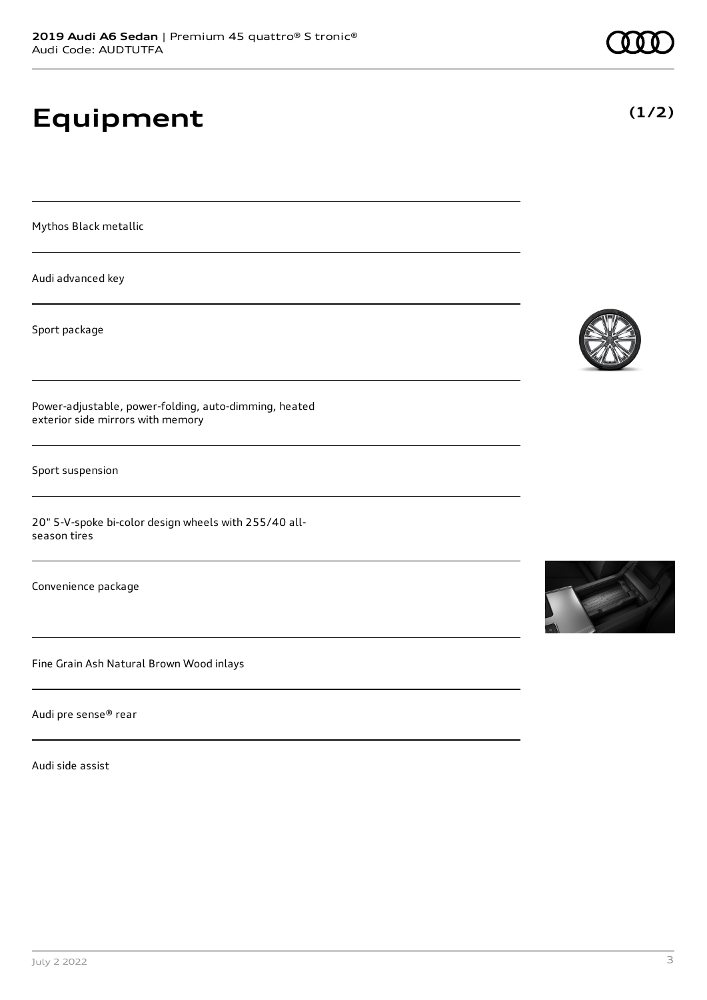# **Equipment**

Mythos Black metallic

Audi advanced key

Sport package

Power-adjustable, power-folding, auto-dimming, heated exterior side mirrors with memory

Sport suspension

20" 5-V-spoke bi-color design wheels with 255/40 allseason tires

Convenience package

Fine Grain Ash Natural Brown Wood inlays

Audi pre sense® rear

Audi side assist





### **(1/2)**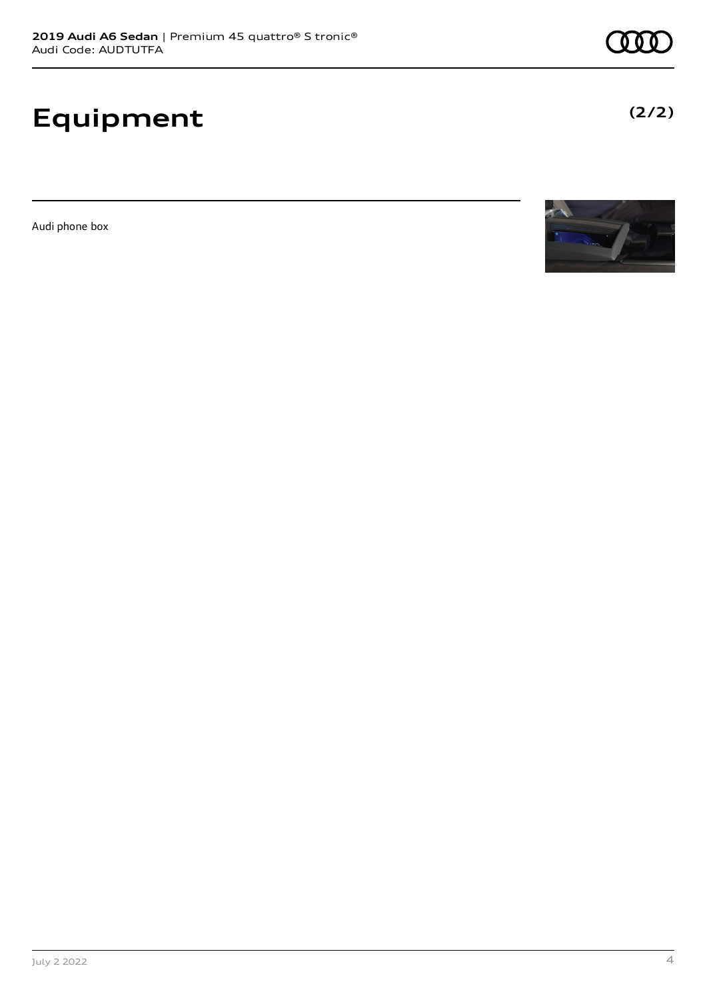# **Equipment**

Audi phone box





**(2/2)**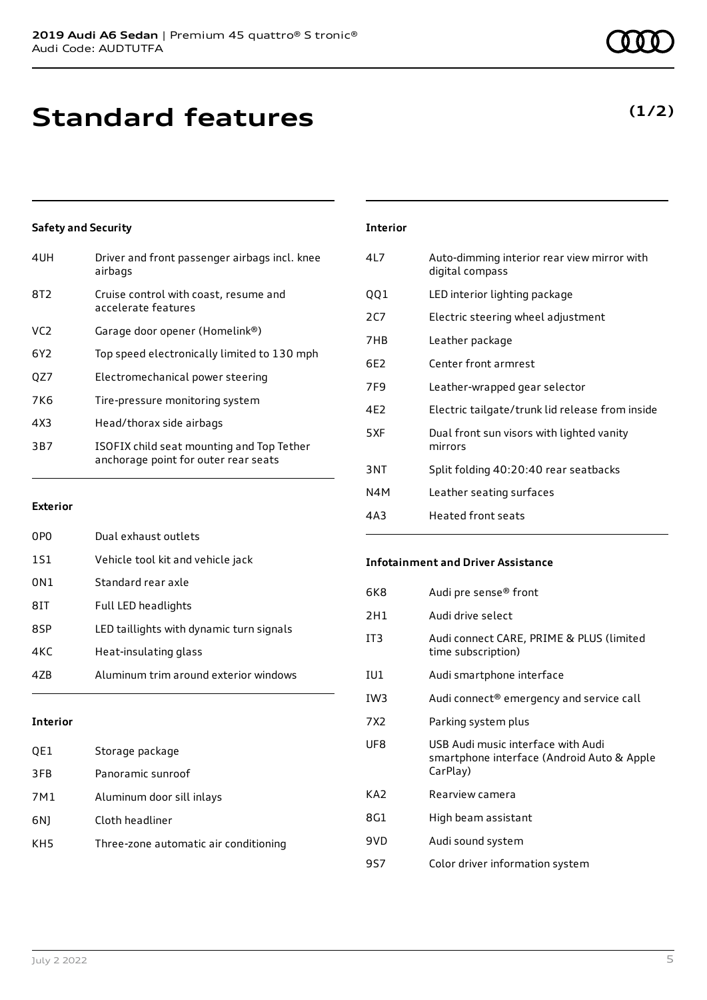## **Standard features**

#### **Safety and Security**

| 4UH             | Driver and front passenger airbags incl. knee<br>airbags                          |
|-----------------|-----------------------------------------------------------------------------------|
| 8T <sub>2</sub> | Cruise control with coast, resume and<br>accelerate features                      |
| VC <sub>2</sub> | Garage door opener (Homelink®)                                                    |
| 6Y <sub>2</sub> | Top speed electronically limited to 130 mph                                       |
| QZ7             | Electromechanical power steering                                                  |
| 7K <sub>6</sub> | Tire-pressure monitoring system                                                   |
| 4X3             | Head/thorax side airbags                                                          |
| 3B7             | ISOFIX child seat mounting and Top Tether<br>anchorage point for outer rear seats |
|                 |                                                                                   |

#### **Exterior**

| 0P <sub>0</sub> | Dual exhaust outlets                     |
|-----------------|------------------------------------------|
| 1S1             | Vehicle tool kit and vehicle jack        |
| 0N1             | Standard rear axle                       |
| 81T             | <b>Full LED headlights</b>               |
| 8SP             | LED taillights with dynamic turn signals |
| 4KC             | Heat-insulating glass                    |
| 47B             | Aluminum trim around exterior windows    |
|                 |                                          |

#### **Interior**

| QE1 | Storage package                       |
|-----|---------------------------------------|
| 3FB | Panoramic sunroof                     |
| 7M1 | Aluminum door sill inlays             |
| 6N) | Cloth headliner                       |
| KH5 | Three-zone automatic air conditioning |

### **Interior** 4L7 Auto-dimming interior rear view mirror with digital compass QQ1 LED interior lighting package 2C7 Electric steering wheel adjustment 7HB Leather package 6E2 Center front armrest 7F9 Leather-wrapped gear selector 4E2 Electric tailgate/trunk lid release from inside

- 5XF Dual front sun visors with lighted vanity mirrors 3NT Split folding 40:20:40 rear seatbacks N4M Leather seating surfaces
- 4A3 Heated front seats

#### **Infotainment and Driver Assistance**

| 6K8             | Audi pre sense <sup>®</sup> front                                                            |
|-----------------|----------------------------------------------------------------------------------------------|
| 2H1             | Audi drive select                                                                            |
| IT <sub>3</sub> | Audi connect CARE, PRIME & PLUS (limited<br>time subscription)                               |
| IU1             | Audi smartphone interface                                                                    |
| IW3             | Audi connect <sup>®</sup> emergency and service call                                         |
| 7X2             | Parking system plus                                                                          |
| UF8             | USB Audi music interface with Audi<br>smartphone interface (Android Auto & Apple<br>CarPlay) |
| KA <sub>2</sub> | Rearview camera                                                                              |
| 8G1             | High beam assistant                                                                          |
| 9VD             | Audi sound system                                                                            |
| 9S7             | Color driver information system                                                              |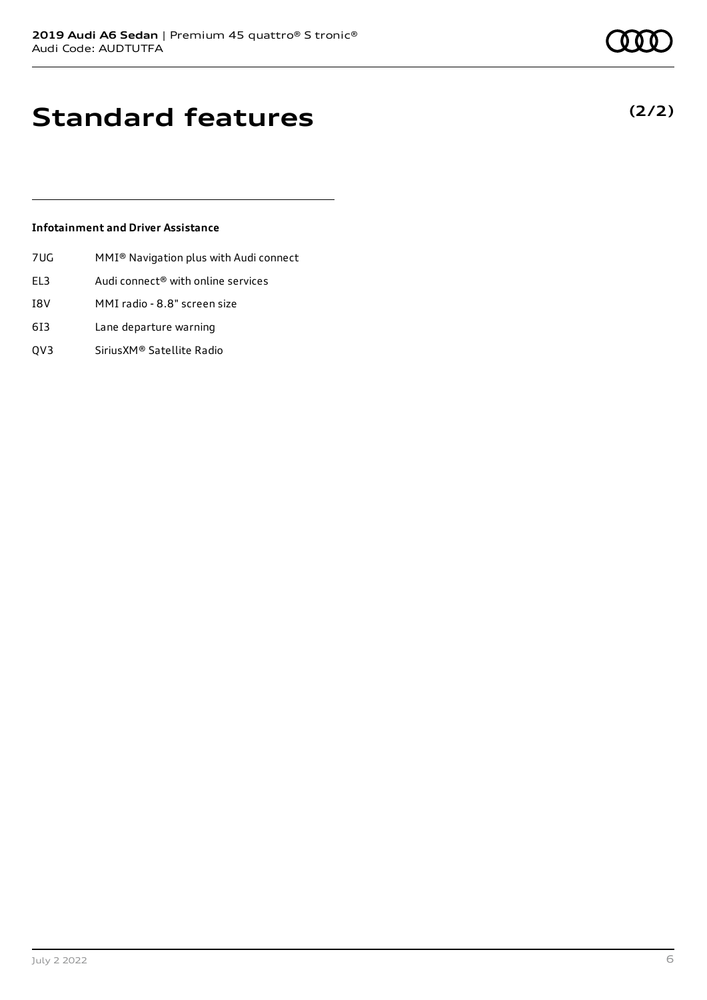**(2/2)**

## **Standard features**

#### **Infotainment and Driver Assistance**

- 7UG MMI® Navigation plus with Audi connect
- EL3 Audi connect® with online services
- I8V MMI radio 8.8" screen size
- 6I3 Lane departure warning
- QV3 SiriusXM® Satellite Radio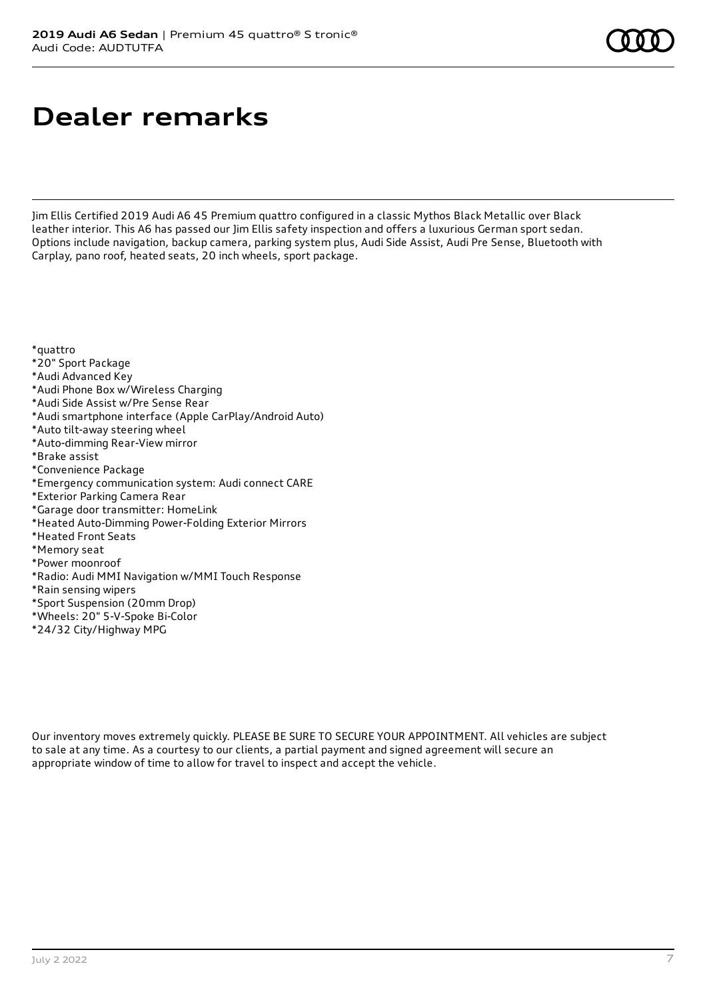## **Dealer remarks**

Jim Ellis Certified 2019 Audi A6 45 Premium quattro configured in a classic Mythos Black Metallic over Black leather interior. This A6 has passed our Jim Ellis safety inspection and offers a luxurious German sport sedan. Options include navigation, backup camera, parking system plus, Audi Side Assist, Audi Pre Sense, Bluetooth with Carplay, pano roof, heated seats, 20 inch wheels, sport package.

\*quattro

- \*20" Sport Package
- \*Audi Advanced Key
- \*Audi Phone Box w/Wireless Charging
- \*Audi Side Assist w/Pre Sense Rear
- \*Audi smartphone interface (Apple CarPlay/Android Auto)
- \*Auto tilt-away steering wheel
- \*Auto-dimming Rear-View mirror
- \*Brake assist
- \*Convenience Package
- \*Emergency communication system: Audi connect CARE
- \*Exterior Parking Camera Rear
- \*Garage door transmitter: HomeLink
- \*Heated Auto-Dimming Power-Folding Exterior Mirrors
- \*Heated Front Seats
- \*Memory seat
- \*Power moonroof
- \*Radio: Audi MMI Navigation w/MMI Touch Response
- \*Rain sensing wipers
- \*Sport Suspension (20mm Drop)
- \*Wheels: 20" 5-V-Spoke Bi-Color
- \*24/32 City/Highway MPG

Our inventory moves extremely quickly. PLEASE BE SURE TO SECURE YOUR APPOINTMENT. All vehicles are subject to sale at any time. As a courtesy to our clients, a partial payment and signed agreement will secure an appropriate window of time to allow for travel to inspect and accept the vehicle.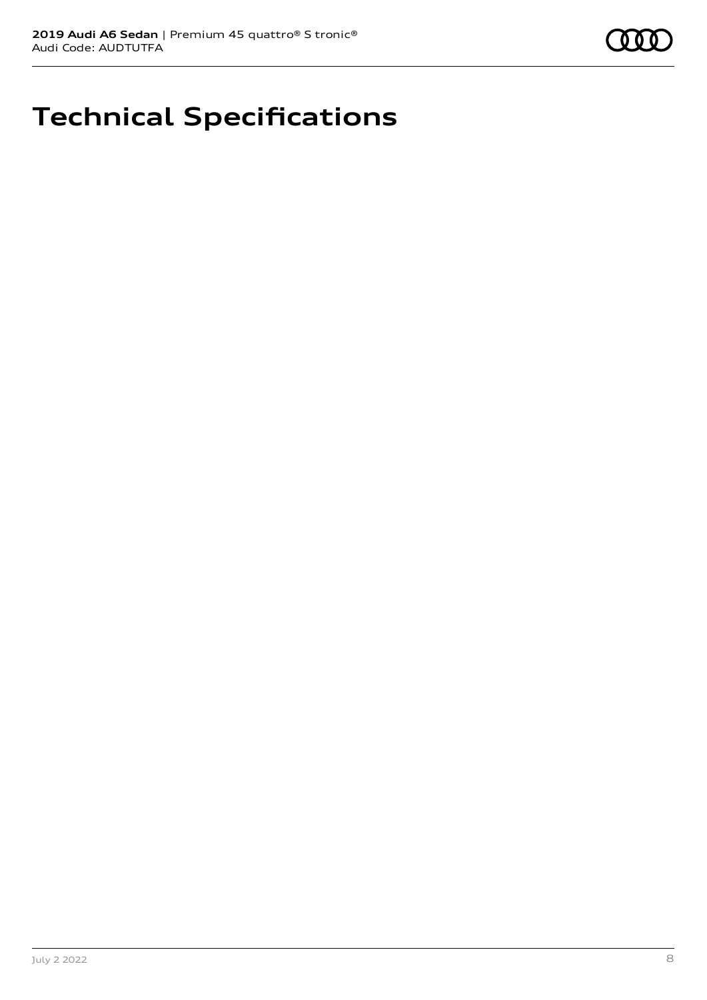## **Technical Specifications**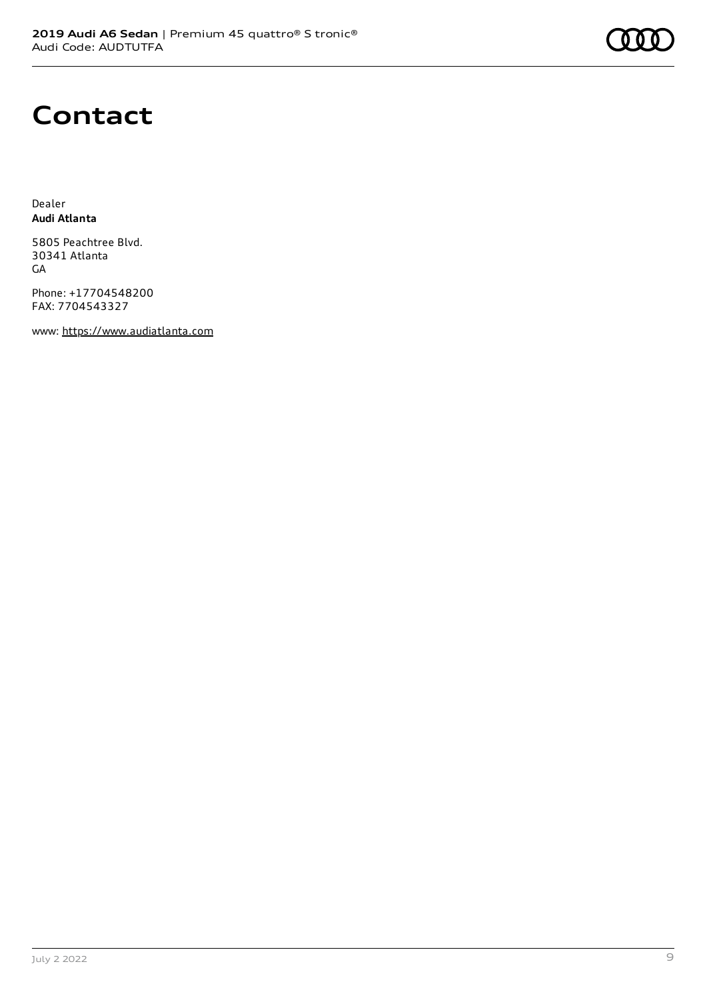

### **Contact**

Dealer **Audi Atlanta**

5805 Peachtree Blvd. 30341 Atlanta **GA** 

Phone: +17704548200 FAX: 7704543327

www: [https://www.audiatlanta.com](https://www.audiatlanta.com/)